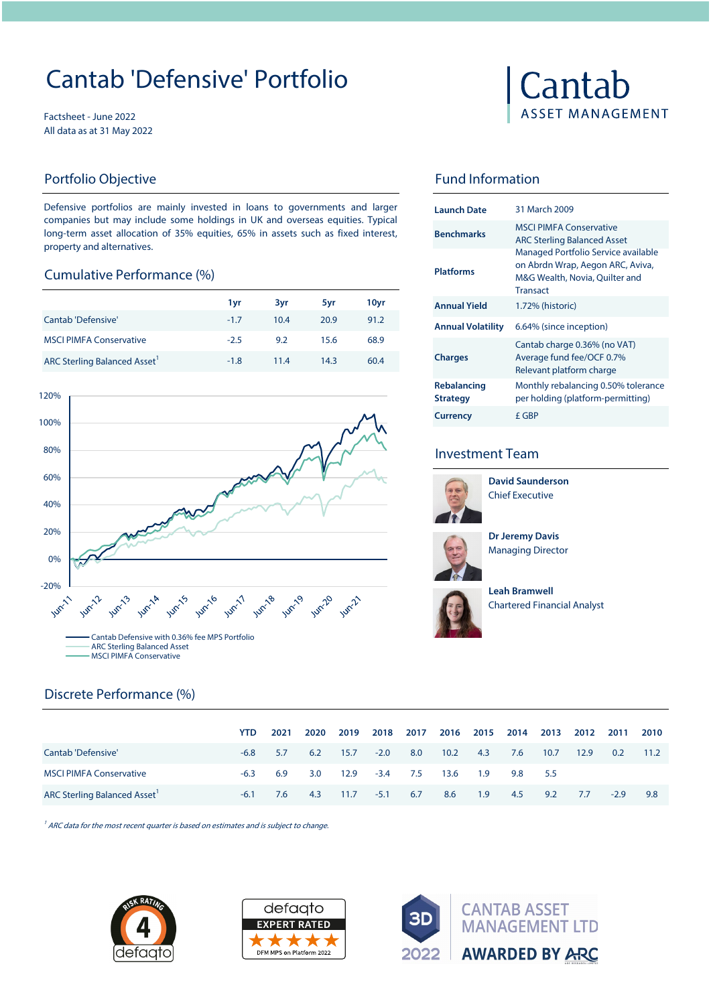# Cantab 'Defensive' Portfolio

Factsheet - June 2022 All data as at 31 May 2022

### Portfolio Objective

Defensive portfolios are mainly invested in loans to governments and larger companies but may include some holdings in UK and overseas equities. Typical long-term asset allocation of 35% equities, 65% in assets such as fixed interest, property and alternatives.

### Cumulative Performance (%)

|                                          | 1yr    | 3vr  | 5yr  | 10yr |
|------------------------------------------|--------|------|------|------|
| Cantab 'Defensive'                       | $-1.7$ | 10.4 | 20.9 | 91.2 |
| <b>MSCI PIMFA Conservative</b>           | $-2.5$ | 9.2  | 15.6 | 68.9 |
| ARC Sterling Balanced Asset <sup>1</sup> | $-1.8$ | 11.4 | 14.3 | 60.4 |



# Cantab **ASSET MANAGEMENT**

# Fund Information

| Launch Date                           | 31 March 2009                                                                                                                |
|---------------------------------------|------------------------------------------------------------------------------------------------------------------------------|
| <b>Benchmarks</b>                     | <b>MSCI PIMFA Conservative</b><br><b>ARC Sterling Balanced Asset</b>                                                         |
| <b>Platforms</b>                      | Managed Portfolio Service available<br>on Abrdn Wrap, Aegon ARC, Aviva,<br>M&G Wealth, Novia, Quilter and<br><b>Transact</b> |
| <b>Annual Yield</b>                   | 1.72% (historic)                                                                                                             |
| <b>Annual Volatility</b>              | 6.64% (since inception)                                                                                                      |
| <b>Charges</b>                        | Cantab charge 0.36% (no VAT)<br>Average fund fee/OCF 0.7%<br>Relevant platform charge                                        |
| <b>Rebalancing</b><br><b>Strategy</b> | Monthly rebalancing 0.50% tolerance<br>per holding (platform-permitting)                                                     |
| <b>Currency</b>                       | f GBP                                                                                                                        |

## Investment Team



**David Saunderson** Chief Executive



**Dr Jeremy Davis**  Managing Director



Chartered Financial Analyst **Leah Bramwell** 

|                                    | YTD.   | 2021 | 2020 | 2019 | 2018   | 2017 | 2016 | 2015 | 2014 | 2013 | 2012 | 2011   | 2010 |
|------------------------------------|--------|------|------|------|--------|------|------|------|------|------|------|--------|------|
| Cantab 'Defensive'                 | $-6.8$ | 5.7  | 6.2  | 15.7 | $-2.0$ | 8.0  | 10.2 | 4.3  | 7.6  | 10.7 | 12.9 | 0.2    | 11.2 |
| <b>MSCI PIMFA Conservative</b>     | $-6.3$ | 6.9  | 3.0  | 12.9 | $-3.4$ | 7.5  | 13.6 | 1.9  | 9.8  | 5.5  |      |        |      |
| <b>ARC Sterling Balanced Asset</b> | $-6.1$ | 7.6  | 4.3  | 11.7 | $-5.1$ | 6.7  | 8.6  | 1.9  | 4.5  | 9.2  | 7.7  | $-2.9$ | 9.8  |

 $1/4$  ARC data for the most recent quarter is based on estimates and is subject to change.



Discrete Performance (%)



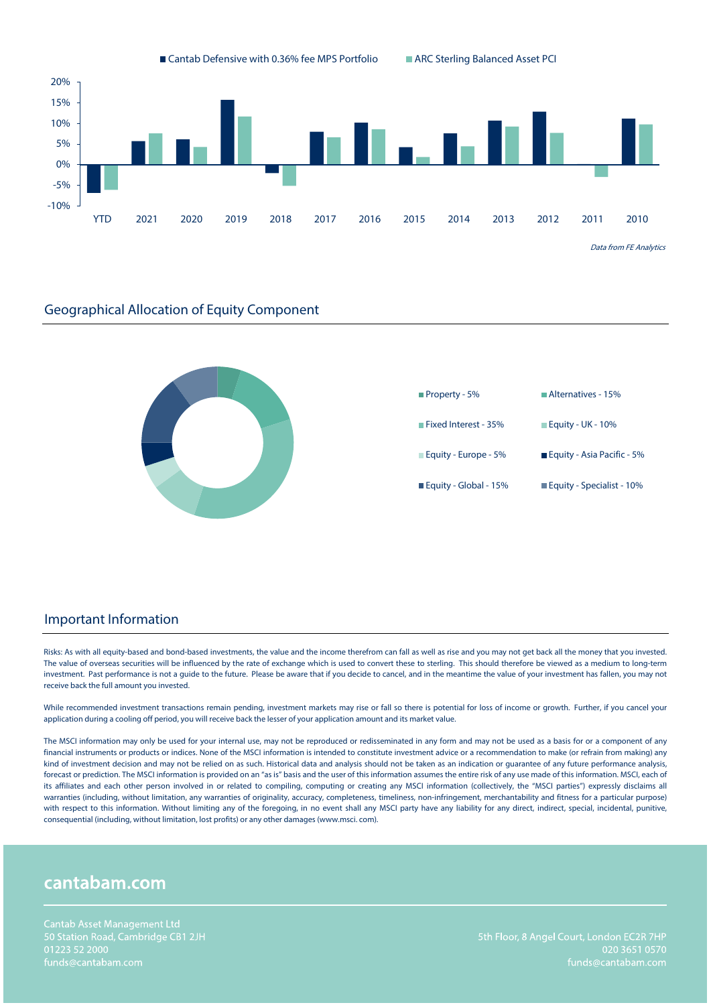



#### Important Information

Risks: As with all equity-based and bond-based investments, the value and the income therefrom can fall as well as rise and you may not get back all the money that you invested. The value of overseas securities will be influenced by the rate of exchange which is used to convert these to sterling. This should therefore be viewed as a medium to long-term investment. Past performance is not a guide to the future. Please be aware that if you decide to cancel, and in the meantime the value of your investment has fallen, you may not receive back the full amount you invested.

While recommended investment transactions remain pending, investment markets may rise or fall so there is potential for loss of income or growth. Further, if you cancel your application during a cooling off period, you will receive back the lesser of your application amount and its market value.

The MSCI information may only be used for your internal use, may not be reproduced or redisseminated in any form and may not be used as a basis for or a component of any financial instruments or products or indices. None of the MSCI information is intended to constitute investment advice or a recommendation to make (or refrain from making) any kind of investment decision and may not be relied on as such. Historical data and analysis should not be taken as an indication or guarantee of any future performance analysis, forecast or prediction. The MSCI information is provided on an "as is" basis and the user of this information assumes the entire risk of any use made of this information. MSCI, each of its affiliates and each other person involved in or related to compiling, computing or creating any MSCI information (collectively, the "MSCI parties") expressly disclaims all warranties (including, without limitation, any warranties of originality, accuracy, completeness, timeliness, non-infringement, merchantability and fitness for a particular purpose) with respect to this information. Without limiting any of the foregoing, in no event shall any MSCI party have any liability for any direct, indirect, special, incidental, punitive, consequential (including, without limitation, lost profits) or any other damages (www.msci. com).

# cantabam.com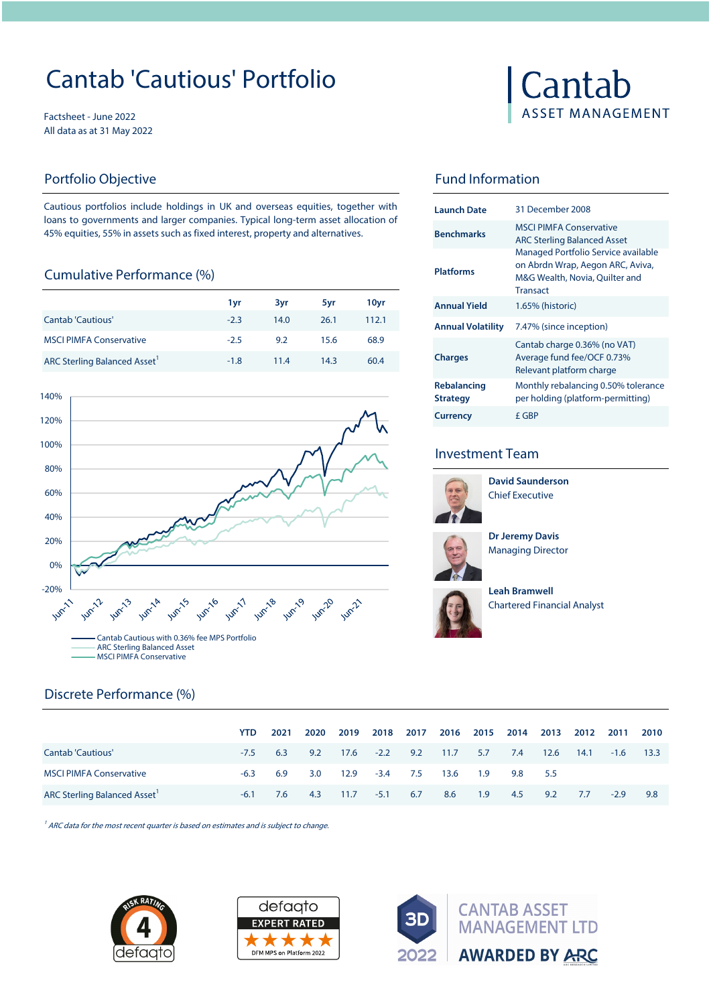# Cantab 'Cautious' Portfolio

Factsheet - June 2022 All data as at 31 May 2022

### Portfolio Objective

Cautious portfolios include holdings in UK and overseas equities, together with loans to governments and larger companies. Typical long-term asset allocation of 45% equities, 55% in assets such as fixed interest, property and alternatives.

## Cumulative Performance (%)

|                                    |        |      |      |       |                          | Transact                                                                   |
|------------------------------------|--------|------|------|-------|--------------------------|----------------------------------------------------------------------------|
|                                    | 1vr    | 3vr  | 5vr  | 10vr  | <b>Annual Yield</b>      | 1.65% (historic)                                                           |
| <b>Cantab 'Cautious'</b>           | $-2.3$ | 14.0 | 26.1 | 112.1 | <b>Annual Volatility</b> | 7.47% (since in                                                            |
| <b>MSCI PIMFA Conservative</b>     | $-2.5$ | 9.2  | 15.6 | 68.9  |                          | Cantab charge                                                              |
| <b>ARC Sterling Balanced Asset</b> | $-1.8$ | 11.4 | 14.3 | 60.4  | <b>Charges</b>           | Average fund fo<br>$\sim$ $\sim$ $\sim$ $\sim$ $\sim$ $\sim$ $\sim$ $\sim$ |



# Cantab **ASSET MANAGEMENT**

# Fund Information

| <b>Launch Date</b>             | 31 December 2008                                                                                                             |
|--------------------------------|------------------------------------------------------------------------------------------------------------------------------|
| <b>Benchmarks</b>              | <b>MSCI PIMEA Conservative</b><br><b>ARC Sterling Balanced Asset</b>                                                         |
| <b>Platforms</b>               | Managed Portfolio Service available<br>on Abrdn Wrap, Aegon ARC, Aviva,<br>M&G Wealth, Novia, Quilter and<br><b>Transact</b> |
| <b>Annual Yield</b>            | 1.65% (historic)                                                                                                             |
| <b>Annual Volatility</b>       | 7.47% (since inception)                                                                                                      |
| <b>Charges</b>                 | Cantab charge 0.36% (no VAT)<br>Average fund fee/OCF 0.73%<br>Relevant platform charge                                       |
| Rebalancing<br><b>Strategy</b> | Monthly rebalancing 0.50% tolerance<br>per holding (platform-permitting)                                                     |
| <b>Currency</b>                | f GBP                                                                                                                        |

### Investment Team



Chief Executive **David Saunderson**



**Dr Jeremy Davis**  Managing Director



**Leah Bramwell**  Chartered Financial Analyst

# Discrete Performance (%)

|                                    | <b>YTD</b> | 2021 | 2020 | 2019                      | 2018   | 2017 | 2016 | 2015 | 2014 | 2013 | 2012 | 2011   | 2010  |
|------------------------------------|------------|------|------|---------------------------|--------|------|------|------|------|------|------|--------|-------|
| <b>Cantab 'Cautious'</b>           | $-7.5$     | 6.3  |      | $9.2$ $17.6$ $-2.2$ $9.2$ |        |      | 11.7 | 5.7  | 7.4  | 12.6 | 14.1 | $-1.6$ | -13.3 |
| <b>MSCI PIMFA Conservative</b>     | $-6.3$     | 6.9  | 3.0  | 12.9                      | $-3.4$ | 7.5  | 13.6 | 1.9  | 9.8  | 5.5  |      |        |       |
| <b>ARC Sterling Balanced Asset</b> | $-6.1$     | 7.6  | 4.3  | 11.7                      | $-5.1$ | 6.7  | 8.6  | 1.9  | 4.5  | 9.2  | 7.7  | $-2.9$ | 9.8   |

 $1/4$  ARC data for the most recent quarter is based on estimates and is subject to change.





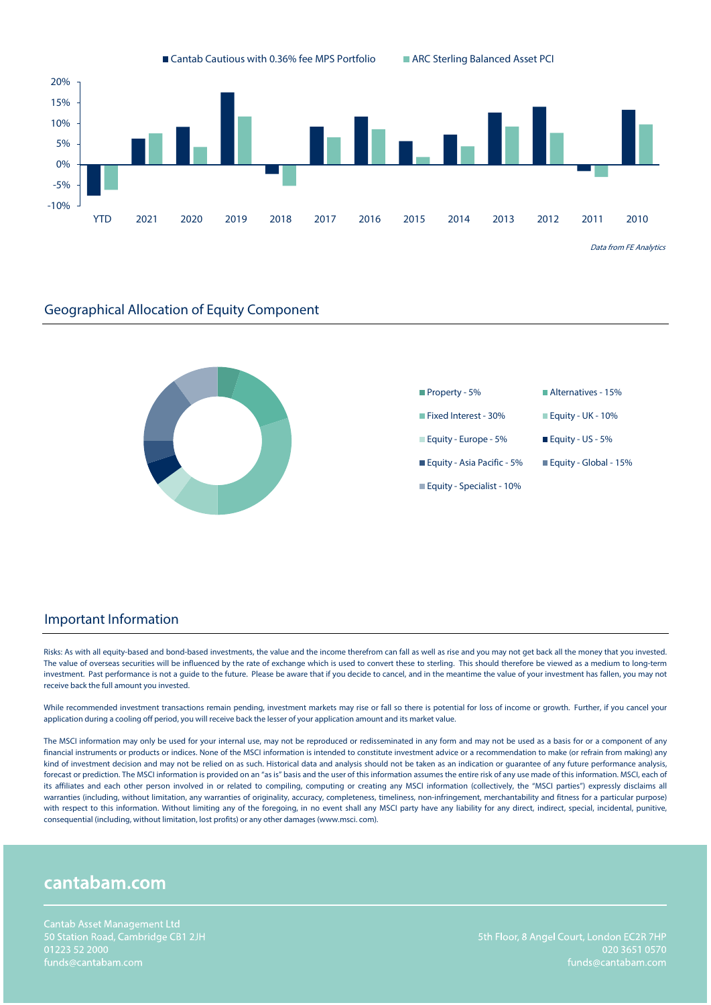



#### Important Information

Risks: As with all equity-based and bond-based investments, the value and the income therefrom can fall as well as rise and you may not get back all the money that you invested. The value of overseas securities will be influenced by the rate of exchange which is used to convert these to sterling. This should therefore be viewed as a medium to long-term investment. Past performance is not a guide to the future. Please be aware that if you decide to cancel, and in the meantime the value of your investment has fallen, you may not receive back the full amount you invested.

While recommended investment transactions remain pending, investment markets may rise or fall so there is potential for loss of income or growth. Further, if you cancel your application during a cooling off period, you will receive back the lesser of your application amount and its market value.

The MSCI information may only be used for your internal use, may not be reproduced or redisseminated in any form and may not be used as a basis for or a component of any financial instruments or products or indices. None of the MSCI information is intended to constitute investment advice or a recommendation to make (or refrain from making) any kind of investment decision and may not be relied on as such. Historical data and analysis should not be taken as an indication or guarantee of any future performance analysis, forecast or prediction. The MSCI information is provided on an "as is" basis and the user of this information assumes the entire risk of any use made of this information. MSCI, each of its affiliates and each other person involved in or related to compiling, computing or creating any MSCI information (collectively, the "MSCI parties") expressly disclaims all warranties (including, without limitation, any warranties of originality, accuracy, completeness, timeliness, non-infringement, merchantability and fitness for a particular purpose) with respect to this information. Without limiting any of the foregoing, in no event shall any MSCI party have any liability for any direct, indirect, special, incidental, punitive, consequential (including, without limitation, lost profits) or any other damages (www.msci. com).

# cantabam.com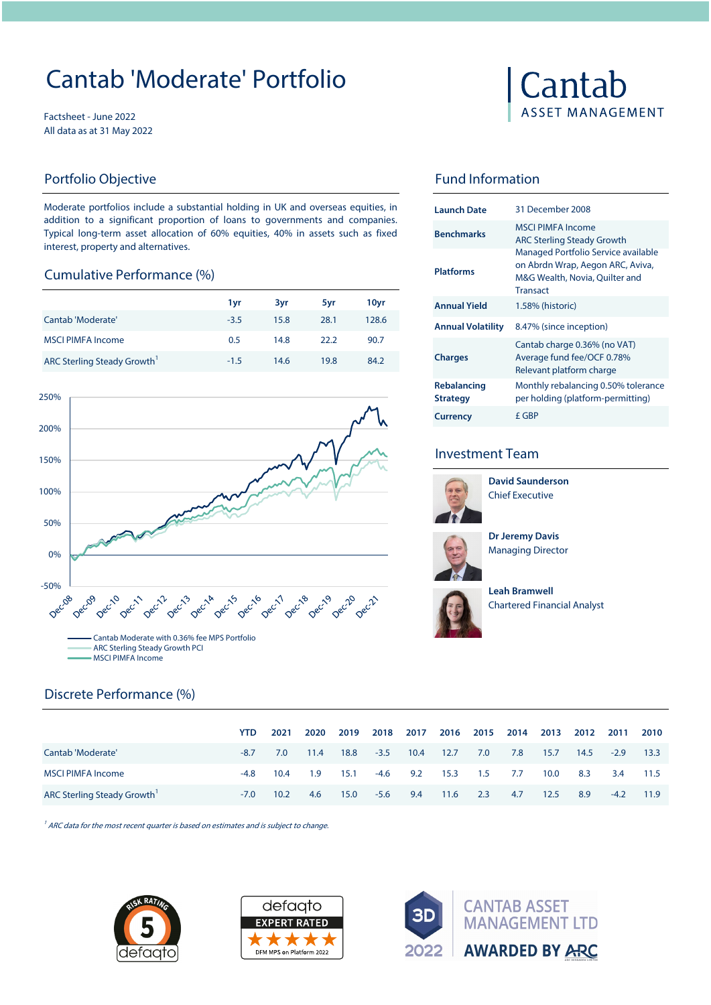# Cantab 'Moderate' Portfolio

Factsheet - June 2022 All data as at 31 May 2022

## Portfolio Objective **Fund Information**

Moderate portfolios include a substantial holding in UK and overseas equities, in addition to a significant proportion of loans to governments and companies. Typical long-term asset allocation of 60% equities, 40% in assets such as fixed interest, property and alternatives.

#### Cumulative Performance (%)

|        |      |      |       |                     | Transact                                             |
|--------|------|------|-------|---------------------|------------------------------------------------------|
| 1 vr   | 3yr  | 5vr  | 10yr  | <b>Annual Yield</b> | 1.58% (historic)                                     |
| $-3.5$ | 15.8 | 28.1 | 128.6 |                     | 8.47% (since inception)                              |
| 0.5    | 14.8 | 22.2 | 90.7  |                     | Cantab charge 0.36% (no                              |
| $-1.5$ | 14.6 | 19.8 | 84.2  | <b>Charges</b>      | Average fund fee/OCF 0.7<br>Relevant platform charge |
|        |      |      |       |                     | <b>Annual Volatility</b>                             |



# Cantab **ASSET MANAGEMENT**

| <b>Launch Date</b>                    | 31 December 2008                                                                                                             |
|---------------------------------------|------------------------------------------------------------------------------------------------------------------------------|
| <b>Benchmarks</b>                     | <b>MSCI PIMFA Income</b><br><b>ARC Sterling Steady Growth</b>                                                                |
| <b>Platforms</b>                      | Managed Portfolio Service available<br>on Abrdn Wrap, Aegon ARC, Aviva,<br>M&G Wealth, Novia, Ouilter and<br><b>Transact</b> |
| <b>Annual Yield</b>                   | 1.58% (historic)                                                                                                             |
| <b>Annual Volatility</b>              | 8.47% (since inception)                                                                                                      |
| <b>Charges</b>                        | Cantab charge 0.36% (no VAT)<br>Average fund fee/OCF 0.78%<br>Relevant platform charge                                       |
| <b>Rebalancing</b><br><b>Strategy</b> | Monthly rebalancing 0.50% tolerance<br>per holding (platform-permitting)                                                     |
| <b>Currency</b>                       | f GBP                                                                                                                        |

### Investment Team



Chief Executive **David Saunderson**



**Dr Jeremy Davis**  Managing Director



15.0 -5.6 9.4 11.6 2.3 4.7

**Leah Bramwell**  Chartered Financial Analyst

|                          | YTD.   | 2021 | 2020 | 2019 | 2018   | 2017       |      |         | 2016 2015 2014 | 2013 | 2012 | 2011   | 2010 |
|--------------------------|--------|------|------|------|--------|------------|------|---------|----------------|------|------|--------|------|
| Cantab 'Moderate'        | $-8.7$ | 7.0  | 11.4 | 18.8 | $-3.5$ | 10.4       | 12.7 | 7.0     | 7.8            | 15.7 | 14.5 | $-2.9$ | 13.3 |
| <b>MSCI PIMFA Income</b> | -4.8   | 10.4 | 1.9  | 15.1 |        | $-4.6$ 9.2 | 15.3 | 1.5 7.7 |                | 10.0 | 8.3  | 3.4    | 11.5 |

ARC Sterling Steady Growth<sup>1</sup> -7.0 10.2 4.6 15.0 -5.6 9.4 11.6 2.3 4.7 12.5 8.9 -4.2 11.9

 $1/4$  ARC data for the most recent quarter is based on estimates and is subject to change.



Discrete Performance (%)



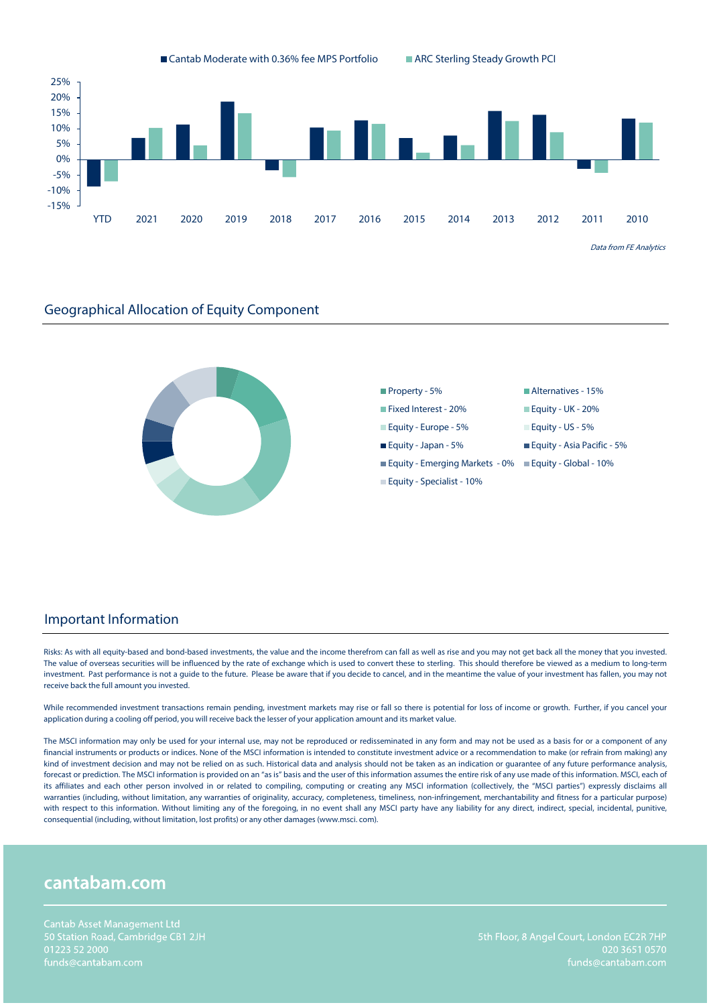



#### Important Information

Risks: As with all equity-based and bond-based investments, the value and the income therefrom can fall as well as rise and you may not get back all the money that you invested. The value of overseas securities will be influenced by the rate of exchange which is used to convert these to sterling. This should therefore be viewed as a medium to long-term investment. Past performance is not a guide to the future. Please be aware that if you decide to cancel, and in the meantime the value of your investment has fallen, you may not receive back the full amount you invested.

While recommended investment transactions remain pending, investment markets may rise or fall so there is potential for loss of income or growth. Further, if you cancel your application during a cooling off period, you will receive back the lesser of your application amount and its market value.

The MSCI information may only be used for your internal use, may not be reproduced or redisseminated in any form and may not be used as a basis for or a component of any financial instruments or products or indices. None of the MSCI information is intended to constitute investment advice or a recommendation to make (or refrain from making) any kind of investment decision and may not be relied on as such. Historical data and analysis should not be taken as an indication or guarantee of any future performance analysis, forecast or prediction. The MSCI information is provided on an "as is" basis and the user of this information assumes the entire risk of any use made of this information. MSCI, each of its affiliates and each other person involved in or related to compiling, computing or creating any MSCI information (collectively, the "MSCI parties") expressly disclaims all warranties (including, without limitation, any warranties of originality, accuracy, completeness, timeliness, non-infringement, merchantability and fitness for a particular purpose) with respect to this information. Without limiting any of the foregoing, in no event shall any MSCI party have any liability for any direct, indirect, special, incidental, punitive, consequential (including, without limitation, lost profits) or any other damages (www.msci. com).

# cantabam.com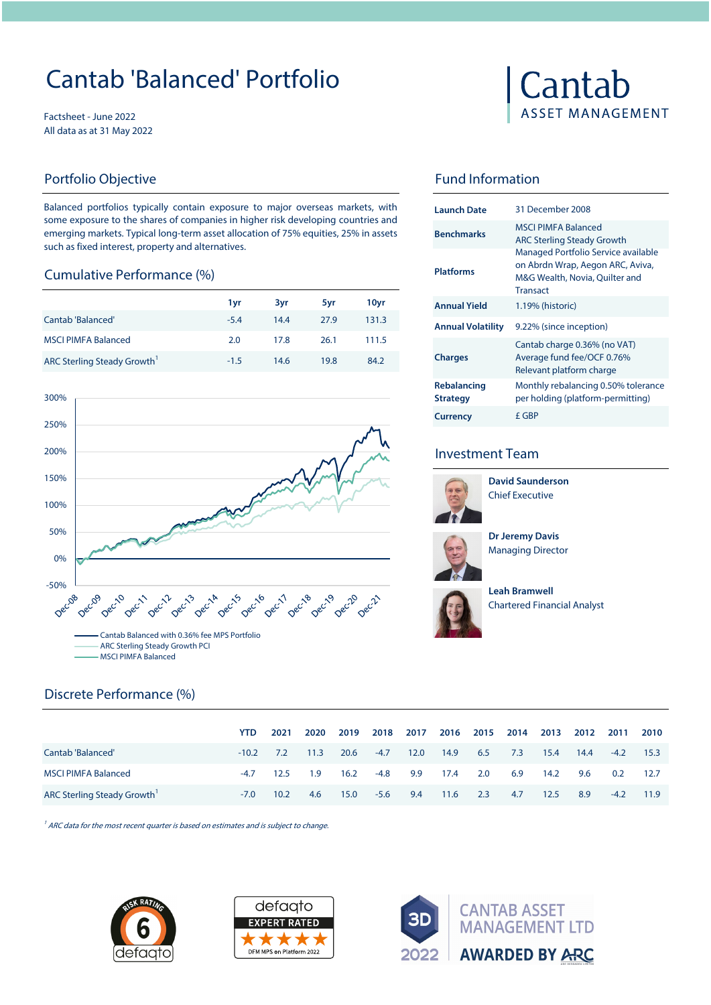# Cantab 'Balanced' Portfolio

Factsheet - June 2022 All data as at 31 May 2022

Balanced portfolios typically contain exposure to major overseas markets, with some exposure to the shares of companies in higher risk developing countries and emerging markets. Typical long-term asset allocation of 75% equities, 25% in assets such as fixed interest, property and alternatives.

#### Cumulative Performance (%)

|                            |        |      |      |       |                          | Transact                                             |
|----------------------------|--------|------|------|-------|--------------------------|------------------------------------------------------|
|                            | 1vr    | 3vr  | 5vr  | 10yr  | <b>Annual Yield</b>      | 1.19% (historic)                                     |
| Cantab 'Balanced'          | $-5.4$ | 14.4 | 27.9 | 131.3 | <b>Annual Volatility</b> | 9.22% (since inception)                              |
| <b>MSCI PIMFA Balanced</b> | 2.0    | 17.8 | 26.1 | 111.5 |                          | Cantab charge 0.36% (no                              |
| ARC Sterling Steady Growth | $-1.5$ | 14.6 | 19.8 | 84.2  | <b>Charges</b>           | Average fund fee/OCF 0.7<br>Relevant platform charge |





## Portfolio Objective **Fund Information**

| <b>Launch Date</b>                    | 31 December 2008                                                                                                             |
|---------------------------------------|------------------------------------------------------------------------------------------------------------------------------|
| <b>Benchmarks</b>                     | <b>MSCLPIMEA Balanced</b><br><b>ARC Sterling Steady Growth</b>                                                               |
| <b>Platforms</b>                      | Managed Portfolio Service available<br>on Abrdn Wrap, Aegon ARC, Aviva,<br>M&G Wealth, Novia, Quilter and<br><b>Transact</b> |
| <b>Annual Yield</b>                   | 1.19% (historic)                                                                                                             |
| <b>Annual Volatility</b>              | 9.22% (since inception)                                                                                                      |
| <b>Charges</b>                        | Cantab charge 0.36% (no VAT)<br>Average fund fee/OCF 0.76%<br>Relevant platform charge                                       |
| <b>Rebalancing</b><br><b>Strategy</b> | Monthly rebalancing 0.50% tolerance<br>per holding (platform-permitting)                                                     |
| <b>Currency</b>                       | £ GBP                                                                                                                        |

## Investment Team



Chief Executive **David Saunderson**



**Dr Jeremy Davis**  Managing Director



**Leah Bramwell**  Chartered Financial Analyst

| Discrete Performance (%) |  |
|--------------------------|--|
|--------------------------|--|

|                            | YTD.    | 2021              | 2020 | 2019 | 2018   | 2017 |      | 2016 2015 | 2014 | 2013 | 2012 | 2011          | 2010 |
|----------------------------|---------|-------------------|------|------|--------|------|------|-----------|------|------|------|---------------|------|
| Cantab 'Balanced'          | $-10.2$ | 7.2               | 11.3 | 20.6 | $-4.7$ | 12.0 | 14.9 | 6.5       | 7.3  | 15.4 | 14.4 | $-4.2$        | 15.3 |
| <b>MSCI PIMFA Balanced</b> | -4.7    | 12.5              | 1.9  | 16.2 | $-4.8$ | 9.9  | 17.4 | 2.0       | 6.9  | 14.2 | 9.6  | $0.2^{\circ}$ | 12.7 |
| ARC Sterling Steady Growth | $-7.0$  | 10.2 <sub>1</sub> | 4.6  | 15.0 | $-5.6$ | 9.4  | 11.6 | 2.3       | 4.7  | 12.5 | 8.9  | $-4.2$        | 11.9 |

 $1/4$  ARC data for the most recent quarter is based on estimates and is subject to change.





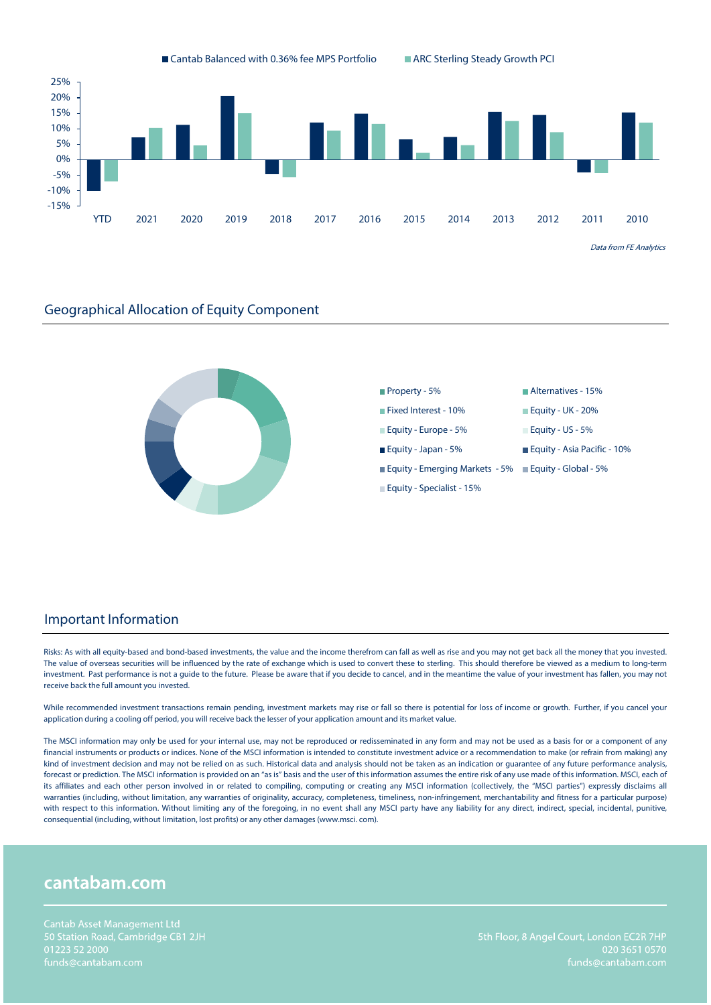



#### Important Information

Risks: As with all equity-based and bond-based investments, the value and the income therefrom can fall as well as rise and you may not get back all the money that you invested. The value of overseas securities will be influenced by the rate of exchange which is used to convert these to sterling. This should therefore be viewed as a medium to long-term investment. Past performance is not a guide to the future. Please be aware that if you decide to cancel, and in the meantime the value of your investment has fallen, you may not receive back the full amount you invested.

While recommended investment transactions remain pending, investment markets may rise or fall so there is potential for loss of income or growth. Further, if you cancel your application during a cooling off period, you will receive back the lesser of your application amount and its market value.

The MSCI information may only be used for your internal use, may not be reproduced or redisseminated in any form and may not be used as a basis for or a component of any financial instruments or products or indices. None of the MSCI information is intended to constitute investment advice or a recommendation to make (or refrain from making) any kind of investment decision and may not be relied on as such. Historical data and analysis should not be taken as an indication or guarantee of any future performance analysis, forecast or prediction. The MSCI information is provided on an "as is" basis and the user of this information assumes the entire risk of any use made of this information. MSCI, each of its affiliates and each other person involved in or related to compiling, computing or creating any MSCI information (collectively, the "MSCI parties") expressly disclaims all warranties (including, without limitation, any warranties of originality, accuracy, completeness, timeliness, non-infringement, merchantability and fitness for a particular purpose) with respect to this information. Without limiting any of the foregoing, in no event shall any MSCI party have any liability for any direct, indirect, special, incidental, punitive, consequential (including, without limitation, lost profits) or any other damages (www.msci. com).

# cantabam.com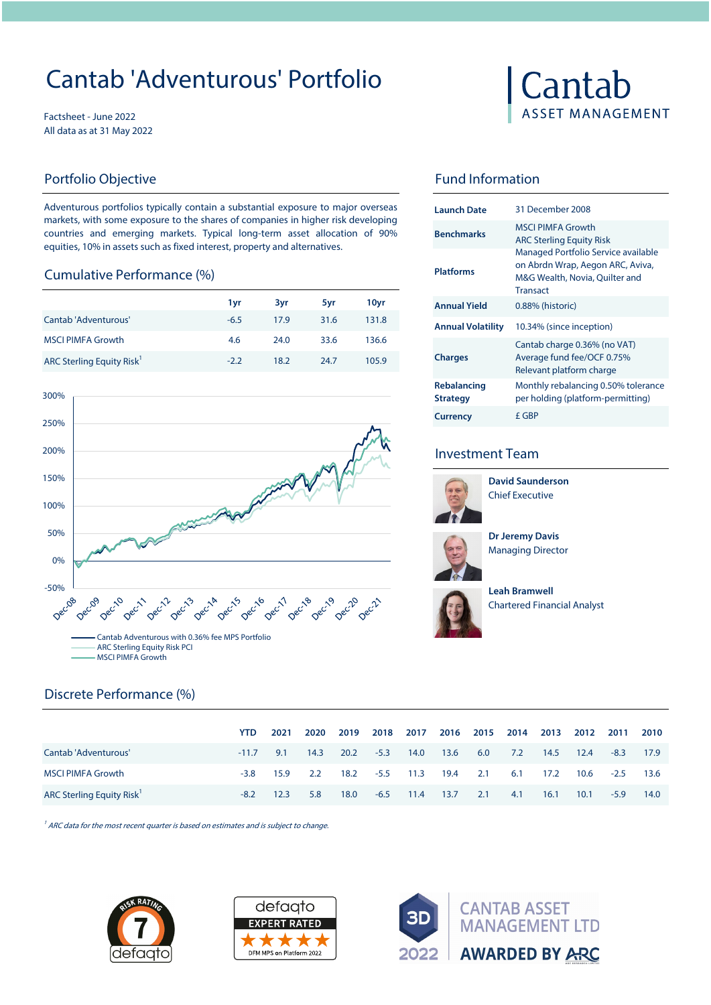# Cantab 'Adventurous' Portfolio

Factsheet - June 2022 All data as at 31 May 2022

# Portfolio Objective **Fund Information**

Adventurous portfolios typically contain a substantial exposure to major overseas markets, with some exposure to the shares of companies in higher risk developing countries and emerging markets. Typical long-term asset allocation of 90% equities, 10% in assets such as fixed interest, property and alternatives.

#### Cumulative Performance (%)

|                          | 1 vr   | 3vr  | 5vr  | 10yr  | <b>Annual Yield</b>      |
|--------------------------|--------|------|------|-------|--------------------------|
| Cantab 'Adventurous'     | $-6.5$ | 17.9 | 31.6 | 131.8 | <b>Annual Volatility</b> |
| <b>MSCI PIMFA Growth</b> | 4.6    | 24.0 | 33.6 | 136.6 |                          |
| ARC Sterling Equity Risk | $-2.2$ | 18.2 | 24.7 | 105.9 | <b>Charges</b>           |
|                          |        |      |      |       |                          |





| <b>Launch Date</b>                    | 31 December 2008                                                                                                             |
|---------------------------------------|------------------------------------------------------------------------------------------------------------------------------|
| <b>Benchmarks</b>                     | MSCI PIMEA Growth<br><b>ARC Sterling Equity Risk</b>                                                                         |
| <b>Platforms</b>                      | Managed Portfolio Service available<br>on Abrdn Wrap, Aegon ARC, Aviva,<br>M&G Wealth, Novia, Quilter and<br><b>Transact</b> |
| <b>Annual Yield</b>                   | 0.88% (historic)                                                                                                             |
| <b>Annual Volatility</b>              | 10.34% (since inception)                                                                                                     |
| <b>Charges</b>                        | Cantab charge 0.36% (no VAT)<br>Average fund fee/OCF 0.75%<br>Relevant platform charge                                       |
| <b>Rebalancing</b><br><b>Strategy</b> | Monthly rebalancing 0.50% tolerance<br>per holding (platform-permitting)                                                     |
| <b>Currency</b>                       | f GBP                                                                                                                        |

## Investment Team



Chief Executive **David Saunderson**



**Dr Jeremy Davis**  Managing Director



**Leah Bramwell**  Chartered Financial Analyst

|                                 | <b>YTD</b> | 2021 | 2020 | 2019 | 2018   | 2017 | 2016 | 2015 | 2014 | 2013 | 2012 | 2011   | 2010 |
|---------------------------------|------------|------|------|------|--------|------|------|------|------|------|------|--------|------|
| Cantab 'Adventurous'            | $-11.7$    | 9.1  | 14.3 | 20.2 | $-5.3$ | 14.0 | 13.6 | 6.0  | 7.2  | 14.5 | 12.4 | $-8.3$ | 17.9 |
| <b>MSCI PIMFA Growth</b>        | $-3.8$     | 15.9 | 2.2  | 18.2 | $-5.5$ | 11.3 | 19.4 | 2.1  | 6.1  | 17.2 | 10.6 | $-2.5$ | 13.6 |
| <b>ARC Sterling Equity Risk</b> | $-8.2$     | 12.3 | 5.8  | 18.0 | $-6.5$ | 11.4 | 13.7 | 2.1  | 4.1  | 16.1 | 10.1 | $-5.9$ | 14.0 |

 $1/4$  ARC data for the most recent quarter is based on estimates and is subject to change.



Discrete Performance (%)